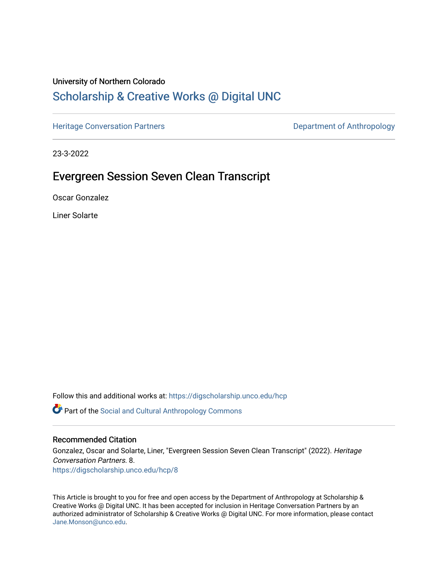### University of Northern Colorado

## [Scholarship & Creative Works @ Digital UNC](https://digscholarship.unco.edu/)

[Heritage Conversation Partners](https://digscholarship.unco.edu/hcp) **Department of Anthropology** 

23-3-2022

# Evergreen Session Seven Clean Transcript

Oscar Gonzalez

Liner Solarte

Follow this and additional works at: [https://digscholarship.unco.edu/hcp](https://digscholarship.unco.edu/hcp?utm_source=digscholarship.unco.edu%2Fhcp%2F8&utm_medium=PDF&utm_campaign=PDFCoverPages) 

Part of the [Social and Cultural Anthropology Commons](http://network.bepress.com/hgg/discipline/323?utm_source=digscholarship.unco.edu%2Fhcp%2F8&utm_medium=PDF&utm_campaign=PDFCoverPages) 

#### Recommended Citation

Gonzalez, Oscar and Solarte, Liner, "Evergreen Session Seven Clean Transcript" (2022). Heritage Conversation Partners. 8. [https://digscholarship.unco.edu/hcp/8](https://digscholarship.unco.edu/hcp/8?utm_source=digscholarship.unco.edu%2Fhcp%2F8&utm_medium=PDF&utm_campaign=PDFCoverPages)

This Article is brought to you for free and open access by the Department of Anthropology at Scholarship & Creative Works @ Digital UNC. It has been accepted for inclusion in Heritage Conversation Partners by an authorized administrator of Scholarship & Creative Works @ Digital UNC. For more information, please contact [Jane.Monson@unco.edu.](mailto:Jane.Monson@unco.edu)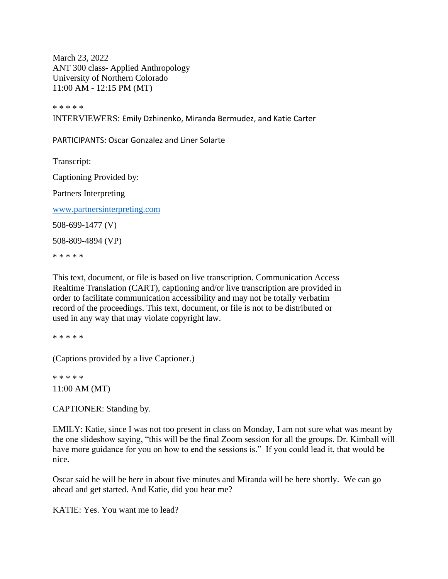March 23, 2022 ANT 300 class- Applied Anthropology University of Northern Colorado 11:00 AM - 12:15 PM (MT)

\* \* \* \* \*

INTERVIEWERS: Emily Dzhinenko, Miranda Bermudez, and Katie Carter

PARTICIPANTS: Oscar Gonzalez and Liner Solarte

Transcript:

Captioning Provided by:

Partners Interpreting

[www.partnersinterpreting.com](https://usc-word-edit.officeapps.live.com/we/www.partnersinterpreting.com)

508-699-1477 (V)

508-809-4894 (VP)

\* \* \* \* \*

This text, document, or file is based on live transcription. Communication Access Realtime Translation (CART), captioning and/or live transcription are provided in order to facilitate communication accessibility and may not be totally verbatim record of the proceedings. This text, document, or file is not to be distributed or used in any way that may violate copyright law.

\* \* \* \* \*

(Captions provided by a live Captioner.)

\* \* \* \* \* 11:00 AM (MT)

CAPTIONER: Standing by.

EMILY: Katie, since I was not too present in class on Monday, I am not sure what was meant by the one slideshow saying, "this will be the final Zoom session for all the groups. Dr. Kimball will have more guidance for you on how to end the sessions is." If you could lead it, that would be nice.

Oscar said he will be here in about five minutes and Miranda will be here shortly. We can go ahead and get started. And Katie, did you hear me?

KATIE: Yes. You want me to lead?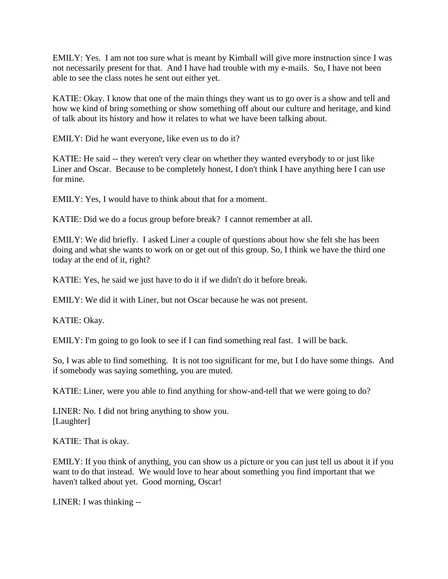EMILY: Yes. I am not too sure what is meant by Kimball will give more instruction since I was not necessarily present for that. And I have had trouble with my e-mails. So, I have not been able to see the class notes he sent out either yet.

KATIE: Okay. I know that one of the main things they want us to go over is a show and tell and how we kind of bring something or show something off about our culture and heritage, and kind of talk about its history and how it relates to what we have been talking about.

EMILY: Did he want everyone, like even us to do it?

KATIE: He said -- they weren't very clear on whether they wanted everybody to or just like Liner and Oscar. Because to be completely honest, I don't think I have anything here I can use for mine.

EMILY: Yes, I would have to think about that for a moment.

KATIE: Did we do a focus group before break? I cannot remember at all.

EMILY: We did briefly. I asked Liner a couple of questions about how she felt she has been doing and what she wants to work on or get out of this group. So, I think we have the third one today at the end of it, right?

KATIE: Yes, he said we just have to do it if we didn't do it before break.

EMILY: We did it with Liner, but not Oscar because he was not present.

KATIE: Okay.

EMILY: I'm going to go look to see if I can find something real fast. I will be back.

So, I was able to find something. It is not too significant for me, but I do have some things. And if somebody was saying something, you are muted.

KATIE: Liner, were you able to find anything for show-and-tell that we were going to do?

LINER: No. I did not bring anything to show you. [Laughter]

KATIE: That is okay.

EMILY: If you think of anything, you can show us a picture or you can just tell us about it if you want to do that instead. We would love to hear about something you find important that we haven't talked about yet. Good morning, Oscar!

LINER: I was thinking --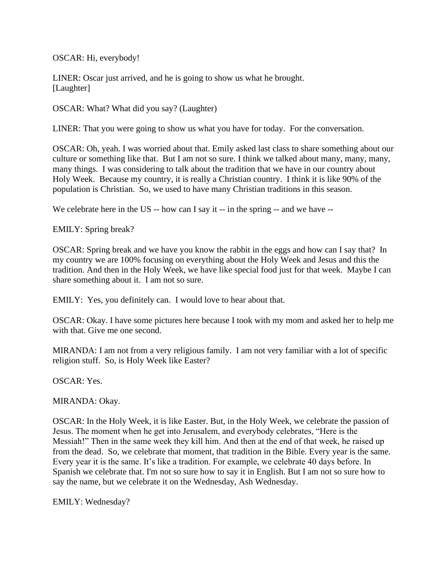OSCAR: Hi, everybody!

LINER: Oscar just arrived, and he is going to show us what he brought. [Laughter]

OSCAR: What? What did you say? (Laughter)

LINER: That you were going to show us what you have for today. For the conversation.

OSCAR: Oh, yeah. I was worried about that. Emily asked last class to share something about our culture or something like that. But I am not so sure. I think we talked about many, many, many, many things. I was considering to talk about the tradition that we have in our country about Holy Week. Because my country, it is really a Christian country. I think it is like 90% of the population is Christian. So, we used to have many Christian traditions in this season.

We celebrate here in the US -- how can I say it -- in the spring -- and we have --

EMILY: Spring break?

OSCAR: Spring break and we have you know the rabbit in the eggs and how can I say that? In my country we are 100% focusing on everything about the Holy Week and Jesus and this the tradition. And then in the Holy Week, we have like special food just for that week. Maybe I can share something about it. I am not so sure.

EMILY: Yes, you definitely can. I would love to hear about that.

OSCAR: Okay. I have some pictures here because I took with my mom and asked her to help me with that. Give me one second.

MIRANDA: I am not from a very religious family. I am not very familiar with a lot of specific religion stuff. So, is Holy Week like Easter?

OSCAR: Yes.

MIRANDA: Okay.

OSCAR: In the Holy Week, it is like Easter. But, in the Holy Week, we celebrate the passion of Jesus. The moment when he get into Jerusalem, and everybody celebrates, "Here is the Messiah!" Then in the same week they kill him. And then at the end of that week, he raised up from the dead. So, we celebrate that moment, that tradition in the Bible. Every year is the same. Every year it is the same. It's like a tradition. For example, we celebrate 40 days before. In Spanish we celebrate that. I'm not so sure how to say it in English. But I am not so sure how to say the name, but we celebrate it on the Wednesday, Ash Wednesday.

EMILY: Wednesday?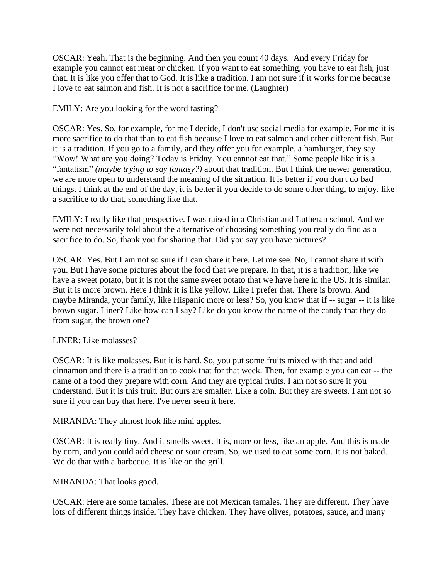OSCAR: Yeah. That is the beginning. And then you count 40 days. And every Friday for example you cannot eat meat or chicken. If you want to eat something, you have to eat fish, just that. It is like you offer that to God. It is like a tradition. I am not sure if it works for me because I love to eat salmon and fish. It is not a sacrifice for me. (Laughter)

EMILY: Are you looking for the word fasting?

OSCAR: Yes. So, for example, for me I decide, I don't use social media for example. For me it is more sacrifice to do that than to eat fish because I love to eat salmon and other different fish. But it is a tradition. If you go to a family, and they offer you for example, a hamburger, they say "Wow! What are you doing? Today is Friday. You cannot eat that." Some people like it is a "fantatism" *(maybe trying to say fantasy?)* about that tradition. But I think the newer generation, we are more open to understand the meaning of the situation. It is better if you don't do bad things. I think at the end of the day, it is better if you decide to do some other thing, to enjoy, like a sacrifice to do that, something like that.

EMILY: I really like that perspective. I was raised in a Christian and Lutheran school. And we were not necessarily told about the alternative of choosing something you really do find as a sacrifice to do. So, thank you for sharing that. Did you say you have pictures?

OSCAR: Yes. But I am not so sure if I can share it here. Let me see. No, I cannot share it with you. But I have some pictures about the food that we prepare. In that, it is a tradition, like we have a sweet potato, but it is not the same sweet potato that we have here in the US. It is similar. But it is more brown. Here I think it is like yellow. Like I prefer that. There is brown. And maybe Miranda, your family, like Hispanic more or less? So, you know that if -- sugar -- it is like brown sugar. Liner? Like how can I say? Like do you know the name of the candy that they do from sugar, the brown one?

LINER: Like molasses?

OSCAR: It is like molasses. But it is hard. So, you put some fruits mixed with that and add cinnamon and there is a tradition to cook that for that week. Then, for example you can eat -- the name of a food they prepare with corn. And they are typical fruits. I am not so sure if you understand. But it is this fruit. But ours are smaller. Like a coin. But they are sweets. I am not so sure if you can buy that here. I've never seen it here.

MIRANDA: They almost look like mini apples.

OSCAR: It is really tiny. And it smells sweet. It is, more or less, like an apple. And this is made by corn, and you could add cheese or sour cream. So, we used to eat some corn. It is not baked. We do that with a barbecue. It is like on the grill.

MIRANDA: That looks good.

OSCAR: Here are some tamales. These are not Mexican tamales. They are different. They have lots of different things inside. They have chicken. They have olives, potatoes, sauce, and many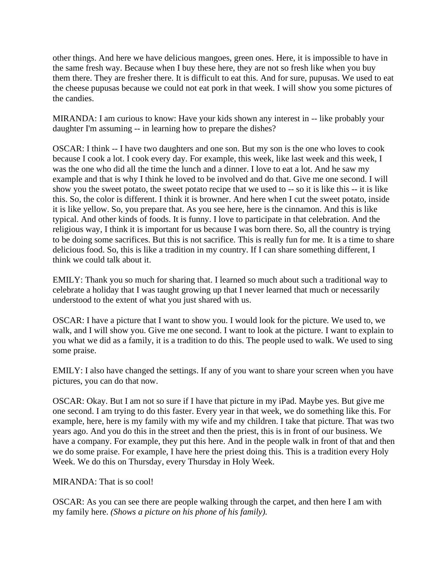other things. And here we have delicious mangoes, green ones. Here, it is impossible to have in the same fresh way. Because when I buy these here, they are not so fresh like when you buy them there. They are fresher there. It is difficult to eat this. And for sure, pupusas. We used to eat the cheese pupusas because we could not eat pork in that week. I will show you some pictures of the candies.

MIRANDA: I am curious to know: Have your kids shown any interest in -- like probably your daughter I'm assuming -- in learning how to prepare the dishes?

OSCAR: I think -- I have two daughters and one son. But my son is the one who loves to cook because I cook a lot. I cook every day. For example, this week, like last week and this week, I was the one who did all the time the lunch and a dinner. I love to eat a lot. And he saw my example and that is why I think he loved to be involved and do that. Give me one second. I will show you the sweet potato, the sweet potato recipe that we used to -- so it is like this -- it is like this. So, the color is different. I think it is browner. And here when I cut the sweet potato, inside it is like yellow. So, you prepare that. As you see here, here is the cinnamon. And this is like typical. And other kinds of foods. It is funny. I love to participate in that celebration. And the religious way, I think it is important for us because I was born there. So, all the country is trying to be doing some sacrifices. But this is not sacrifice. This is really fun for me. It is a time to share delicious food. So, this is like a tradition in my country. If I can share something different, I think we could talk about it.

EMILY: Thank you so much for sharing that. I learned so much about such a traditional way to celebrate a holiday that I was taught growing up that I never learned that much or necessarily understood to the extent of what you just shared with us.

OSCAR: I have a picture that I want to show you. I would look for the picture. We used to, we walk, and I will show you. Give me one second. I want to look at the picture. I want to explain to you what we did as a family, it is a tradition to do this. The people used to walk. We used to sing some praise.

EMILY: I also have changed the settings. If any of you want to share your screen when you have pictures, you can do that now.

OSCAR: Okay. But I am not so sure if I have that picture in my iPad. Maybe yes. But give me one second. I am trying to do this faster. Every year in that week, we do something like this. For example, here, here is my family with my wife and my children. I take that picture. That was two years ago. And you do this in the street and then the priest, this is in front of our business. We have a company. For example, they put this here. And in the people walk in front of that and then we do some praise. For example, I have here the priest doing this. This is a tradition every Holy Week. We do this on Thursday, every Thursday in Holy Week.

MIRANDA: That is so cool!

OSCAR: As you can see there are people walking through the carpet, and then here I am with my family here. *(Shows a picture on his phone of his family).*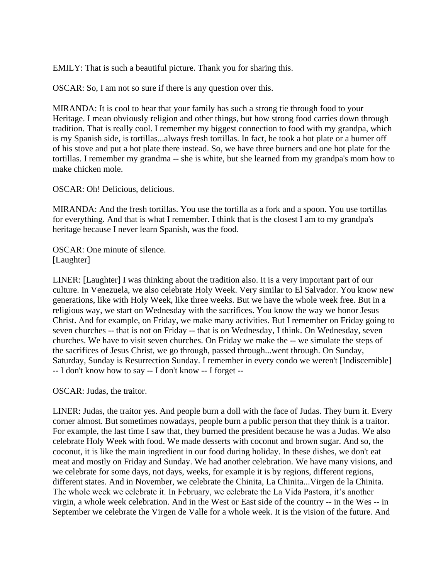EMILY: That is such a beautiful picture. Thank you for sharing this.

OSCAR: So, I am not so sure if there is any question over this.

MIRANDA: It is cool to hear that your family has such a strong tie through food to your Heritage. I mean obviously religion and other things, but how strong food carries down through tradition. That is really cool. I remember my biggest connection to food with my grandpa, which is my Spanish side, is tortillas...always fresh tortillas. In fact, he took a hot plate or a burner off of his stove and put a hot plate there instead. So, we have three burners and one hot plate for the tortillas. I remember my grandma -- she is white, but she learned from my grandpa's mom how to make chicken mole.

OSCAR: Oh! Delicious, delicious.

MIRANDA: And the fresh tortillas. You use the tortilla as a fork and a spoon. You use tortillas for everything. And that is what I remember. I think that is the closest I am to my grandpa's heritage because I never learn Spanish, was the food.

OSCAR: One minute of silence. [Laughter]

LINER: [Laughter] I was thinking about the tradition also. It is a very important part of our culture. In Venezuela, we also celebrate Holy Week. Very similar to El Salvador. You know new generations, like with Holy Week, like three weeks. But we have the whole week free. But in a religious way, we start on Wednesday with the sacrifices. You know the way we honor Jesus Christ. And for example, on Friday, we make many activities. But I remember on Friday going to seven churches -- that is not on Friday -- that is on Wednesday, I think. On Wednesday, seven churches. We have to visit seven churches. On Friday we make the -- we simulate the steps of the sacrifices of Jesus Christ, we go through, passed through...went through. On Sunday, Saturday, Sunday is Resurrection Sunday. I remember in every condo we weren't [Indiscernible] -- I don't know how to say -- I don't know -- I forget --

OSCAR: Judas, the traitor.

LINER: Judas, the traitor yes. And people burn a doll with the face of Judas. They burn it. Every corner almost. But sometimes nowadays, people burn a public person that they think is a traitor. For example, the last time I saw that, they burned the president because he was a Judas. We also celebrate Holy Week with food. We made desserts with coconut and brown sugar. And so, the coconut, it is like the main ingredient in our food during holiday. In these dishes, we don't eat meat and mostly on Friday and Sunday. We had another celebration. We have many visions, and we celebrate for some days, not days, weeks, for example it is by regions, different regions, different states. And in November, we celebrate the Chinita, La Chinita...Virgen de la Chinita. The whole week we celebrate it. In February, we celebrate the La Vida Pastora, it's another virgin, a whole week celebration. And in the West or East side of the country -- in the Wes -- in September we celebrate the Virgen de Valle for a whole week. It is the vision of the future. And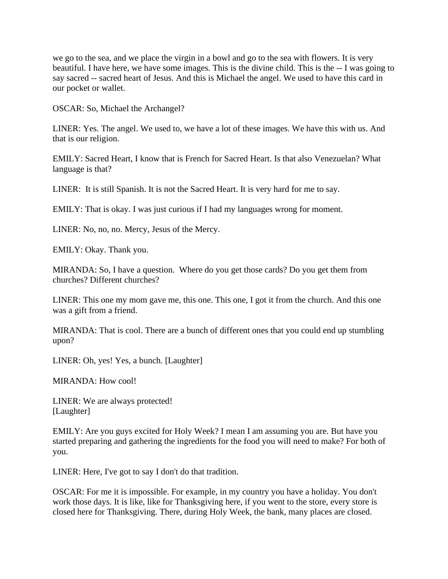we go to the sea, and we place the virgin in a bowl and go to the sea with flowers. It is very beautiful. I have here, we have some images. This is the divine child. This is the -- I was going to say sacred -- sacred heart of Jesus. And this is Michael the angel. We used to have this card in our pocket or wallet.

OSCAR: So, Michael the Archangel?

LINER: Yes. The angel. We used to, we have a lot of these images. We have this with us. And that is our religion.

EMILY: Sacred Heart, I know that is French for Sacred Heart. Is that also Venezuelan? What language is that?

LINER: It is still Spanish. It is not the Sacred Heart. It is very hard for me to say.

EMILY: That is okay. I was just curious if I had my languages wrong for moment.

LINER: No, no, no. Mercy, Jesus of the Mercy.

EMILY: Okay. Thank you.

MIRANDA: So, I have a question. Where do you get those cards? Do you get them from churches? Different churches?

LINER: This one my mom gave me, this one. This one, I got it from the church. And this one was a gift from a friend.

MIRANDA: That is cool. There are a bunch of different ones that you could end up stumbling upon?

LINER: Oh, yes! Yes, a bunch. [Laughter]

MIRANDA: How cool!

LINER: We are always protected! [Laughter]

EMILY: Are you guys excited for Holy Week? I mean I am assuming you are. But have you started preparing and gathering the ingredients for the food you will need to make? For both of you.

LINER: Here, I've got to say I don't do that tradition.

OSCAR: For me it is impossible. For example, in my country you have a holiday. You don't work those days. It is like, like for Thanksgiving here, if you went to the store, every store is closed here for Thanksgiving. There, during Holy Week, the bank, many places are closed.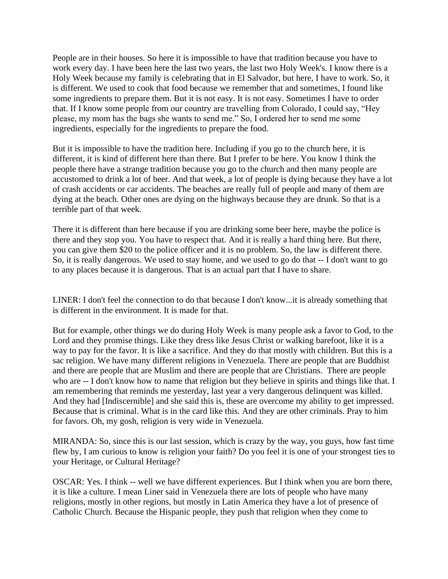People are in their houses. So here it is impossible to have that tradition because you have to work every day. I have been here the last two years, the last two Holy Week's. I know there is a Holy Week because my family is celebrating that in El Salvador, but here, I have to work. So, it is different. We used to cook that food because we remember that and sometimes, I found like some ingredients to prepare them. But it is not easy. It is not easy. Sometimes I have to order that. If I know some people from our country are travelling from Colorado, I could say, "Hey please, my mom has the bags she wants to send me." So, I ordered her to send me some ingredients, especially for the ingredients to prepare the food.

But it is impossible to have the tradition here. Including if you go to the church here, it is different, it is kind of different here than there. But I prefer to be here. You know I think the people there have a strange tradition because you go to the church and then many people are accustomed to drink a lot of beer. And that week, a lot of people is dying because they have a lot of crash accidents or car accidents. The beaches are really full of people and many of them are dying at the beach. Other ones are dying on the highways because they are drunk. So that is a terrible part of that week.

There it is different than here because if you are drinking some beer here, maybe the police is there and they stop you. You have to respect that. And it is really a hard thing here. But there, you can give them \$20 to the police officer and it is no problem. So, the law is different there. So, it is really dangerous. We used to stay home, and we used to go do that -- I don't want to go to any places because it is dangerous. That is an actual part that I have to share.

LINER: I don't feel the connection to do that because I don't know...it is already something that is different in the environment. It is made for that.

But for example, other things we do during Holy Week is many people ask a favor to God, to the Lord and they promise things. Like they dress like Jesus Christ or walking barefoot, like it is a way to pay for the favor. It is like a sacrifice. And they do that mostly with children. But this is a sac religion. We have many different religions in Venezuela. There are people that are Buddhist and there are people that are Muslim and there are people that are Christians. There are people who are -- I don't know how to name that religion but they believe in spirits and things like that. I am remembering that reminds me yesterday, last year a very dangerous delinquent was killed. And they had [Indiscernible] and she said this is, these are overcome my ability to get impressed. Because that is criminal. What is in the card like this. And they are other criminals. Pray to him for favors. Oh, my gosh, religion is very wide in Venezuela.

MIRANDA: So, since this is our last session, which is crazy by the way, you guys, how fast time flew by, I am curious to know is religion your faith? Do you feel it is one of your strongest ties to your Heritage, or Cultural Heritage?

OSCAR: Yes. I think -- well we have different experiences. But I think when you are born there, it is like a culture. I mean Liner said in Venezuela there are lots of people who have many religions, mostly in other regions, but mostly in Latin America they have a lot of presence of Catholic Church. Because the Hispanic people, they push that religion when they come to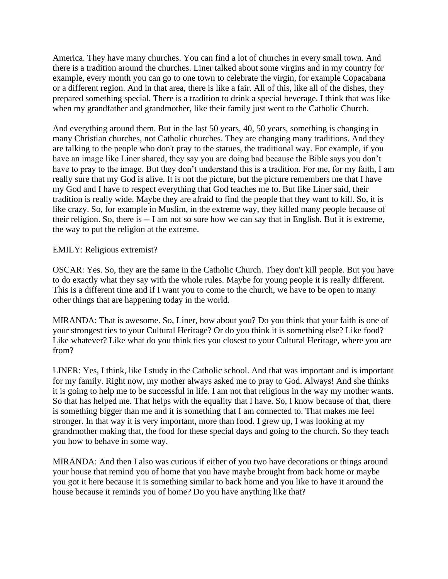America. They have many churches. You can find a lot of churches in every small town. And there is a tradition around the churches. Liner talked about some virgins and in my country for example, every month you can go to one town to celebrate the virgin, for example Copacabana or a different region. And in that area, there is like a fair. All of this, like all of the dishes, they prepared something special. There is a tradition to drink a special beverage. I think that was like when my grandfather and grandmother, like their family just went to the Catholic Church.

And everything around them. But in the last 50 years, 40, 50 years, something is changing in many Christian churches, not Catholic churches. They are changing many traditions. And they are talking to the people who don't pray to the statues, the traditional way. For example, if you have an image like Liner shared, they say you are doing bad because the Bible says you don't have to pray to the image. But they don't understand this is a tradition. For me, for my faith, I am really sure that my God is alive. It is not the picture, but the picture remembers me that I have my God and I have to respect everything that God teaches me to. But like Liner said, their tradition is really wide. Maybe they are afraid to find the people that they want to kill. So, it is like crazy. So, for example in Muslim, in the extreme way, they killed many people because of their religion. So, there is -- I am not so sure how we can say that in English. But it is extreme, the way to put the religion at the extreme.

### EMILY: Religious extremist?

OSCAR: Yes. So, they are the same in the Catholic Church. They don't kill people. But you have to do exactly what they say with the whole rules. Maybe for young people it is really different. This is a different time and if I want you to come to the church, we have to be open to many other things that are happening today in the world.

MIRANDA: That is awesome. So, Liner, how about you? Do you think that your faith is one of your strongest ties to your Cultural Heritage? Or do you think it is something else? Like food? Like whatever? Like what do you think ties you closest to your Cultural Heritage, where you are from?

LINER: Yes, I think, like I study in the Catholic school. And that was important and is important for my family. Right now, my mother always asked me to pray to God. Always! And she thinks it is going to help me to be successful in life. I am not that religious in the way my mother wants. So that has helped me. That helps with the equality that I have. So, I know because of that, there is something bigger than me and it is something that I am connected to. That makes me feel stronger. In that way it is very important, more than food. I grew up, I was looking at my grandmother making that, the food for these special days and going to the church. So they teach you how to behave in some way.

MIRANDA: And then I also was curious if either of you two have decorations or things around your house that remind you of home that you have maybe brought from back home or maybe you got it here because it is something similar to back home and you like to have it around the house because it reminds you of home? Do you have anything like that?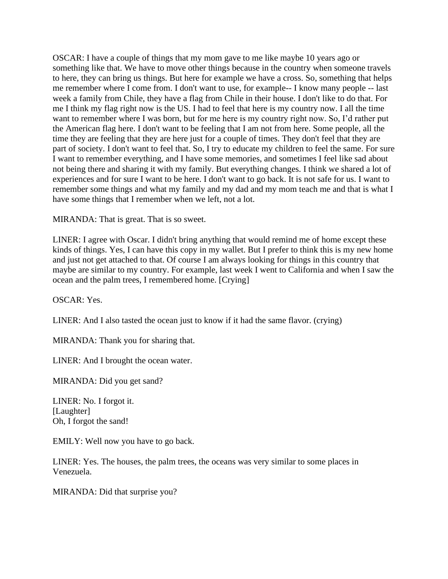OSCAR: I have a couple of things that my mom gave to me like maybe 10 years ago or something like that. We have to move other things because in the country when someone travels to here, they can bring us things. But here for example we have a cross. So, something that helps me remember where I come from. I don't want to use, for example-- I know many people -- last week a family from Chile, they have a flag from Chile in their house. I don't like to do that. For me I think my flag right now is the US. I had to feel that here is my country now. I all the time want to remember where I was born, but for me here is my country right now. So, I'd rather put the American flag here. I don't want to be feeling that I am not from here. Some people, all the time they are feeling that they are here just for a couple of times. They don't feel that they are part of society. I don't want to feel that. So, I try to educate my children to feel the same. For sure I want to remember everything, and I have some memories, and sometimes I feel like sad about not being there and sharing it with my family. But everything changes. I think we shared a lot of experiences and for sure I want to be here. I don't want to go back. It is not safe for us. I want to remember some things and what my family and my dad and my mom teach me and that is what I have some things that I remember when we left, not a lot.

MIRANDA: That is great. That is so sweet.

LINER: I agree with Oscar. I didn't bring anything that would remind me of home except these kinds of things. Yes, I can have this copy in my wallet. But I prefer to think this is my new home and just not get attached to that. Of course I am always looking for things in this country that maybe are similar to my country. For example, last week I went to California and when I saw the ocean and the palm trees, I remembered home. [Crying]

OSCAR: Yes.

LINER: And I also tasted the ocean just to know if it had the same flavor. (crying)

MIRANDA: Thank you for sharing that.

LINER: And I brought the ocean water.

MIRANDA: Did you get sand?

LINER: No. I forgot it. [Laughter] Oh, I forgot the sand!

EMILY: Well now you have to go back.

LINER: Yes. The houses, the palm trees, the oceans was very similar to some places in Venezuela.

MIRANDA: Did that surprise you?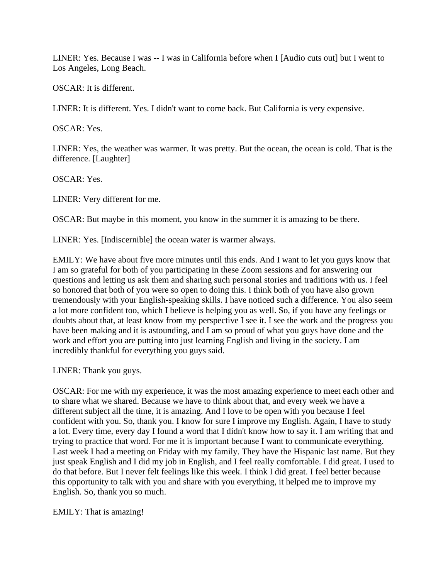LINER: Yes. Because I was -- I was in California before when I [Audio cuts out] but I went to Los Angeles, Long Beach.

OSCAR: It is different.

LINER: It is different. Yes. I didn't want to come back. But California is very expensive.

OSCAR: Yes.

LINER: Yes, the weather was warmer. It was pretty. But the ocean, the ocean is cold. That is the difference. [Laughter]

OSCAR: Yes.

LINER: Very different for me.

OSCAR: But maybe in this moment, you know in the summer it is amazing to be there.

LINER: Yes. [Indiscernible] the ocean water is warmer always.

EMILY: We have about five more minutes until this ends. And I want to let you guys know that I am so grateful for both of you participating in these Zoom sessions and for answering our questions and letting us ask them and sharing such personal stories and traditions with us. I feel so honored that both of you were so open to doing this. I think both of you have also grown tremendously with your English-speaking skills. I have noticed such a difference. You also seem a lot more confident too, which I believe is helping you as well. So, if you have any feelings or doubts about that, at least know from my perspective I see it. I see the work and the progress you have been making and it is astounding, and I am so proud of what you guys have done and the work and effort you are putting into just learning English and living in the society. I am incredibly thankful for everything you guys said.

LINER: Thank you guys.

OSCAR: For me with my experience, it was the most amazing experience to meet each other and to share what we shared. Because we have to think about that, and every week we have a different subject all the time, it is amazing. And I love to be open with you because I feel confident with you. So, thank you. I know for sure I improve my English. Again, I have to study a lot. Every time, every day I found a word that I didn't know how to say it. I am writing that and trying to practice that word. For me it is important because I want to communicate everything. Last week I had a meeting on Friday with my family. They have the Hispanic last name. But they just speak English and I did my job in English, and I feel really comfortable. I did great. I used to do that before. But I never felt feelings like this week. I think I did great. I feel better because this opportunity to talk with you and share with you everything, it helped me to improve my English. So, thank you so much.

EMILY: That is amazing!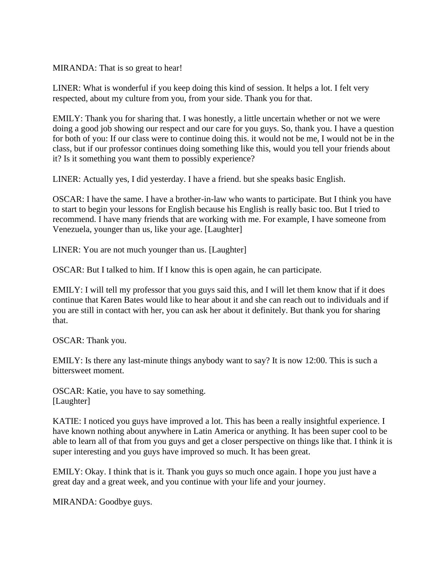MIRANDA: That is so great to hear!

LINER: What is wonderful if you keep doing this kind of session. It helps a lot. I felt very respected, about my culture from you, from your side. Thank you for that.

EMILY: Thank you for sharing that. I was honestly, a little uncertain whether or not we were doing a good job showing our respect and our care for you guys. So, thank you. I have a question for both of you: If our class were to continue doing this. it would not be me, I would not be in the class, but if our professor continues doing something like this, would you tell your friends about it? Is it something you want them to possibly experience?

LINER: Actually yes, I did yesterday. I have a friend. but she speaks basic English.

OSCAR: I have the same. I have a brother-in-law who wants to participate. But I think you have to start to begin your lessons for English because his English is really basic too. But I tried to recommend. I have many friends that are working with me. For example, I have someone from Venezuela, younger than us, like your age. [Laughter]

LINER: You are not much younger than us. [Laughter]

OSCAR: But I talked to him. If I know this is open again, he can participate.

EMILY: I will tell my professor that you guys said this, and I will let them know that if it does continue that Karen Bates would like to hear about it and she can reach out to individuals and if you are still in contact with her, you can ask her about it definitely. But thank you for sharing that.

OSCAR: Thank you.

EMILY: Is there any last-minute things anybody want to say? It is now 12:00. This is such a bittersweet moment.

OSCAR: Katie, you have to say something. [Laughter]

KATIE: I noticed you guys have improved a lot. This has been a really insightful experience. I have known nothing about anywhere in Latin America or anything. It has been super cool to be able to learn all of that from you guys and get a closer perspective on things like that. I think it is super interesting and you guys have improved so much. It has been great.

EMILY: Okay. I think that is it. Thank you guys so much once again. I hope you just have a great day and a great week, and you continue with your life and your journey.

MIRANDA: Goodbye guys.